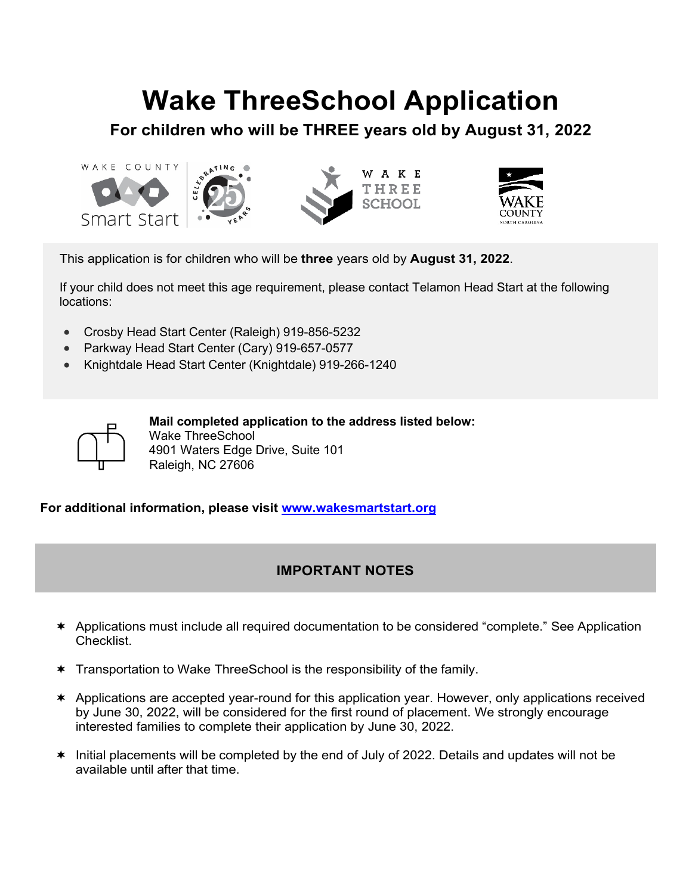# **Wake ThreeSchool Application**

**For children who will be THREE years old by August 31, 2022**





This application is for children who will be **three** years old by **August 31, 2022**.

If your child does not meet this age requirement, please contact Telamon Head Start at the following locations:

- Crosby Head Start Center (Raleigh) 919-856-5232
- Parkway Head Start Center (Cary) 919-657-0577
- Knightdale Head Start Center (Knightdale) 919-266-1240

**Mail completed application to the address listed below:** Wake ThreeSchool 4901 Waters Edge Drive, Suite 101 Raleigh, NC 27606

**For additional information, please visit [www.wakesmartstart.org](http://www.wakesmartstart.org/)**

### **IMPORTANT NOTES**

- Applications must include all required documentation to be considered "complete." See Application Checklist.
- \* Transportation to Wake ThreeSchool is the responsibility of the family.
- Applications are accepted year-round for this application year. However, only applications received by June 30, 2022, will be considered for the first round of placement. We strongly encourage interested families to complete their application by June 30, 2022.
- $*$  Initial placements will be completed by the end of July of 2022. Details and updates will not be available until after that time.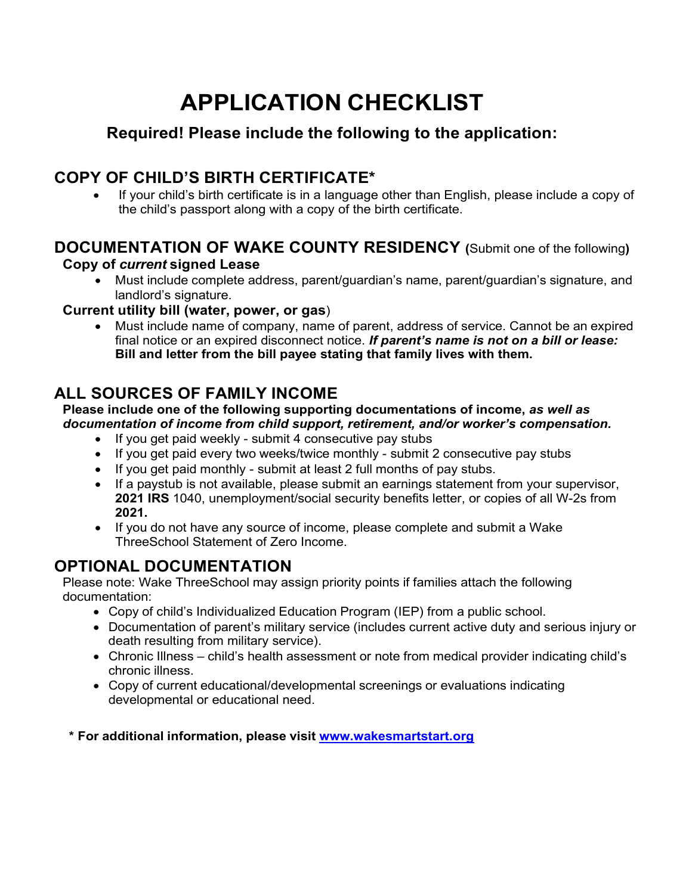# **APPLICATION CHECKLIST**

# **Required! Please include the following to the application:**

# **COPY OF CHILD'S BIRTH CERTIFICATE\***

• If your child's birth certificate is in a language other than English, please include a copy of the child's passport along with a copy of the birth certificate.

### **DOCUMENTATION OF WAKE COUNTY RESIDENCY (**Submit one of the following**) Copy of** *current* **signed Lease**

• Must include complete address, parent/guardian's name, parent/guardian's signature, and landlord's signature.

### **Current utility bill (water, power, or gas**)

• Must include name of company, name of parent, address of service. Cannot be an expired final notice or an expired disconnect notice. *If parent's name is not on a bill or lease:*  **Bill and letter from the bill payee stating that family lives with them.**

## **ALL SOURCES OF FAMILY INCOME**

#### **Please include one of the following supporting documentations of income,** *as well as documentation of income from child support, retirement, and/or worker's compensation.*

- If you get paid weekly submit 4 consecutive pay stubs
- If you get paid every two weeks/twice monthly submit 2 consecutive pay stubs
- If you get paid monthly submit at least 2 full months of pay stubs.
- If a paystub is not available, please submit an earnings statement from your supervisor, **2021 IRS** 1040, unemployment/social security benefits letter, or copies of all W-2s from **2021.**
- If you do not have any source of income, please complete and submit a Wake ThreeSchool Statement of Zero Income.

# **OPTIONAL DOCUMENTATION**

Please note: Wake ThreeSchool may assign priority points if families attach the following documentation:

- Copy of child's Individualized Education Program (IEP) from a public school.
- Documentation of parent's military service (includes current active duty and serious injury or death resulting from military service).
- Chronic Illness child's health assessment or note from medical provider indicating child's chronic illness.
- Copy of current educational/developmental screenings or evaluations indicating developmental or educational need.

**\* For additional information, please visit [www.wakesmartstart.org](http://www.wakesmartstart.org/)**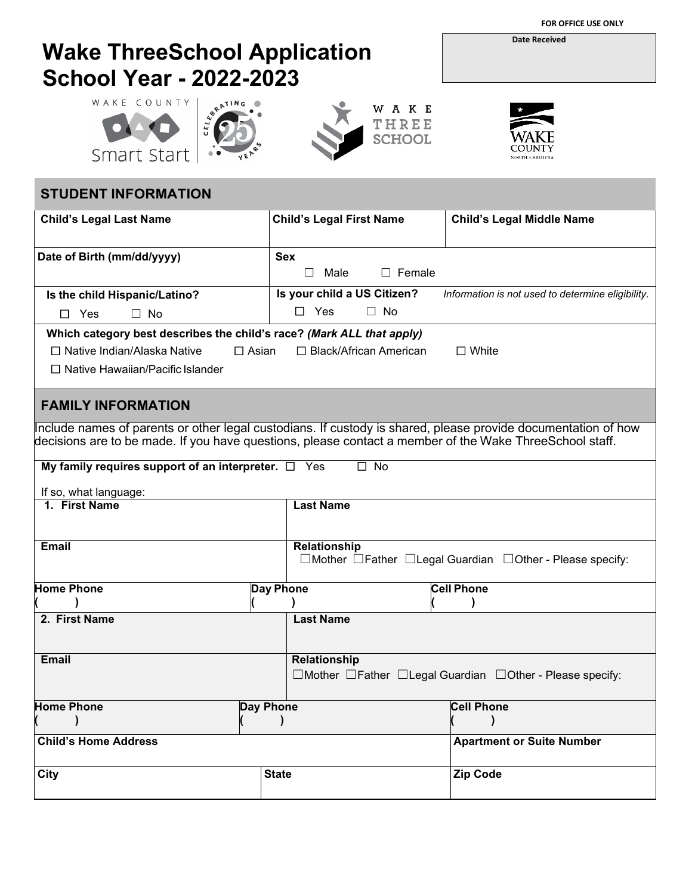**FOR OFFICE USE ONLY**

# **Wake ThreeSchool Application School Year - 2022-2023**









### **STUDENT INFORMATION Child's Legal Last Name Child's Legal First Name Child's Legal Middle Name Date of Birth (mm/dd/yyyy)** Sex ☐ Male ☐ Female **Is the child Hispanic/Latino?** ☐Yes ☐ No **Is your child a US Citizen?** *Information is not used to determine eligibility.* ☐Yes ☐ No **Which category best describes the child's race?** *(Mark ALL that apply)* ☐ Native Indian/Alaska Native ☐ Asian ☐ Black/African American ☐ White ☐ Native Hawaiian/Pacific Islander **FAMILY INFORMATION** Include names of parents or other legal custodians. If custody is shared, please provide documentation of how decisions are to be made. If you have questions, please contact a member of the Wake ThreeSchool staff. **My family requires support of an interpreter.**  $□$  **<b>Yes** □ No If so, what language: **1. First Name Last Name Email Relationship** ☐Mother ☐Father ☐Legal Guardian ☐Other - Please specify: **Home Phone ( ) Day Phone ( ) Cell Phone ( ) 2. First Name Last Name Email Relationship** ☐Mother ☐Father ☐Legal Guardian ☐Other - Please specify: **Home Phone ( ) Day Phone ( ) Cell Phone ( ) Child's Home Address <b>Apartment or Suite Number Apartment or Suite Number Apartment or Suite Number** City |State |Zip Code

**Date Received**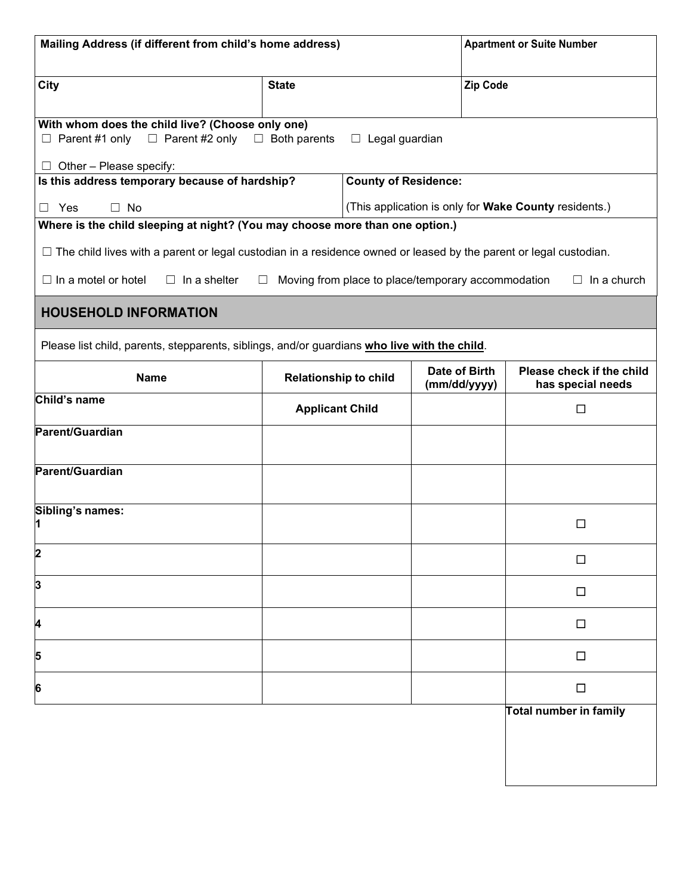| Mailing Address (if different from child's home address)                                              |                                                                                                                          |                             | <b>Apartment or Suite Number</b>                   |                                                       |  |
|-------------------------------------------------------------------------------------------------------|--------------------------------------------------------------------------------------------------------------------------|-----------------------------|----------------------------------------------------|-------------------------------------------------------|--|
| City                                                                                                  | <b>State</b>                                                                                                             |                             | <b>Zip Code</b>                                    |                                                       |  |
| With whom does the child live? (Choose only one)<br>$\Box$ Parent #2 only<br>Parent #1 only<br>$\Box$ | $\Box$ Both parents                                                                                                      | $\Box$ Legal guardian       |                                                    |                                                       |  |
| $\Box$ Other - Please specify:<br>Is this address temporary because of hardship?                      |                                                                                                                          | <b>County of Residence:</b> |                                                    |                                                       |  |
| $\Box$ No<br>Yes<br>$\mathsf{L}$                                                                      |                                                                                                                          |                             |                                                    | (This application is only for Wake County residents.) |  |
| Where is the child sleeping at night? (You may choose more than one option.)                          |                                                                                                                          |                             |                                                    |                                                       |  |
|                                                                                                       | $\Box$ The child lives with a parent or legal custodian in a residence owned or leased by the parent or legal custodian. |                             |                                                    |                                                       |  |
| $\Box$ In a motel or hotel<br>$\Box$ In a shelter                                                     | ⊔                                                                                                                        |                             | Moving from place to place/temporary accommodation | In a church<br>$\Box$                                 |  |
| <b>HOUSEHOLD INFORMATION</b>                                                                          |                                                                                                                          |                             |                                                    |                                                       |  |
| Please list child, parents, stepparents, siblings, and/or guardians who live with the child.          |                                                                                                                          |                             |                                                    |                                                       |  |
| <b>Name</b>                                                                                           | <b>Relationship to child</b>                                                                                             |                             | Date of Birth<br>(mm/dd/yyyy)                      | Please check if the child<br>has special needs        |  |
| Child's name                                                                                          | <b>Applicant Child</b>                                                                                                   |                             |                                                    | $\Box$                                                |  |
| Parent/Guardian                                                                                       |                                                                                                                          |                             |                                                    |                                                       |  |
| Parent/Guardian                                                                                       |                                                                                                                          |                             |                                                    |                                                       |  |
| Sibling's names:<br>11                                                                                |                                                                                                                          |                             |                                                    | □                                                     |  |
| 2                                                                                                     |                                                                                                                          |                             |                                                    | $\Box$                                                |  |
| 3                                                                                                     |                                                                                                                          |                             |                                                    | $\Box$                                                |  |
| 4                                                                                                     |                                                                                                                          |                             |                                                    | $\Box$                                                |  |
| 5                                                                                                     |                                                                                                                          |                             |                                                    | $\Box$                                                |  |
| 6                                                                                                     |                                                                                                                          |                             |                                                    | $\Box$                                                |  |
|                                                                                                       |                                                                                                                          |                             |                                                    | Total number in family                                |  |
|                                                                                                       |                                                                                                                          |                             |                                                    |                                                       |  |
|                                                                                                       |                                                                                                                          |                             |                                                    |                                                       |  |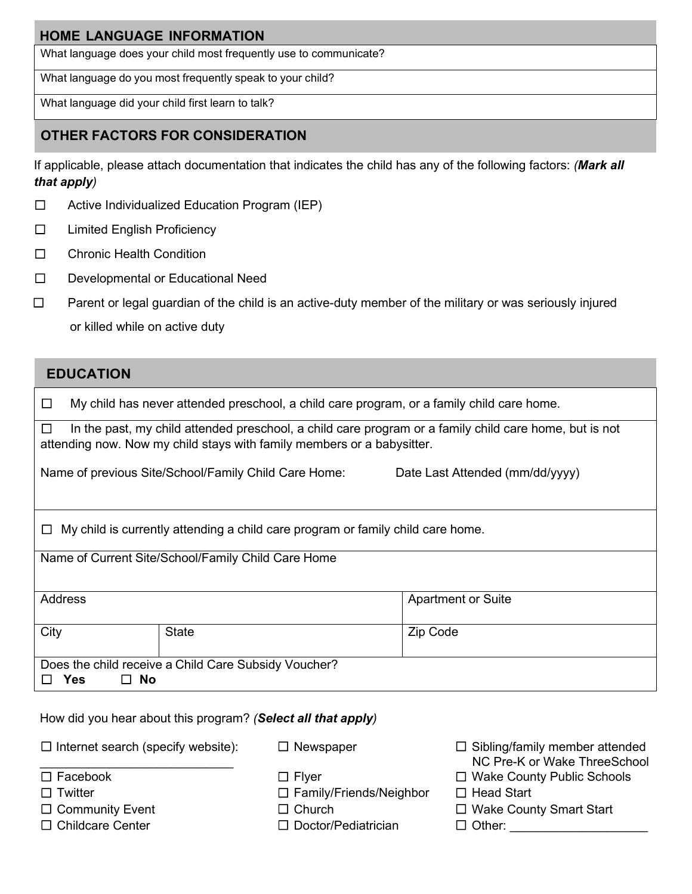### **HOME LANGUAGE INFORMATION**

What language does your child most frequently use to communicate?

What language do you most frequently speak to your child?

What language did your child first learn to talk?

### **OTHER FACTORS FOR CONSIDERATION**

If applicable, please attach documentation that indicates the child has any of the following factors: *(Mark all that apply)*

- ☐ Active Individualized Education Program (IEP)
- ☐ Limited English Proficiency
- ☐ Chronic Health Condition
- ☐ Developmental or Educational Need
- ☐ Parent or legal guardian of the child is an active-duty member of the military or was seriously injured or killed while on active duty

### **EDUCATION**

|                                                                                                                                                                                             | My child has never attended preschool, a child care program, or a family child care home. |              |                           |
|---------------------------------------------------------------------------------------------------------------------------------------------------------------------------------------------|-------------------------------------------------------------------------------------------|--------------|---------------------------|
| In the past, my child attended preschool, a child care program or a family child care home, but is not<br>$\perp$<br>attending now. Now my child stays with family members or a babysitter. |                                                                                           |              |                           |
| Name of previous Site/School/Family Child Care Home:<br>Date Last Attended (mm/dd/yyyy)                                                                                                     |                                                                                           |              |                           |
| $\Box$ My child is currently attending a child care program or family child care home.                                                                                                      |                                                                                           |              |                           |
| Name of Current Site/School/Family Child Care Home                                                                                                                                          |                                                                                           |              |                           |
| Address                                                                                                                                                                                     |                                                                                           |              | <b>Apartment or Suite</b> |
| City                                                                                                                                                                                        |                                                                                           | <b>State</b> | Zip Code                  |
| Does the child receive a Child Care Subsidy Voucher?                                                                                                                                        |                                                                                           |              |                           |
| Yes<br>$\Box$ No                                                                                                                                                                            |                                                                                           |              |                           |

How did you hear about this program? *(Select all that apply)*

 $\Box$  Internet search (specify website):  $\_$ 

- 
- 
- 
- 
- ☐ Twitter ☐ Family/Friends/Neighbor ☐ Head Start
	-
- ☐ Childcare Center ☐ Doctor/Pediatrician ☐ Other: \_\_\_\_\_\_\_\_\_\_\_\_\_\_\_\_\_\_\_\_
- ☐ Newspaper ☐ Sibling/family member attended NC Pre-K or Wake ThreeSchool
- ☐ Facebook ☐ Flyer ☐ Wake County Public Schools
	-
- ☐ Community Event ☐ Church ☐ Wake County Smart Start
	-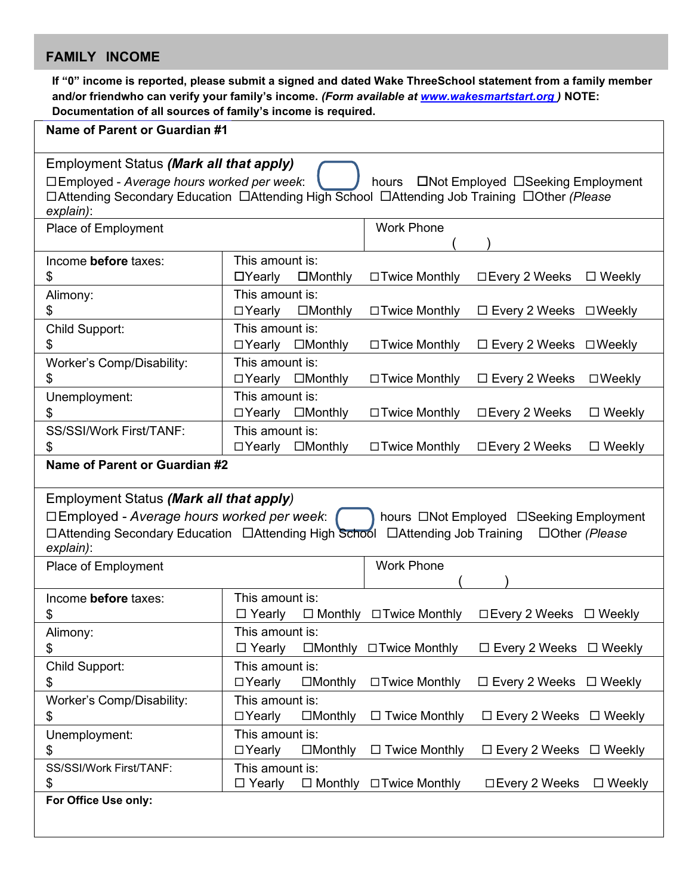### **FAMILY INCOME**

**If "0" income is reported, please submit a signed and dated Wake ThreeSchool statement from a family member and/or friendwho can verify your family's income.** *(Form available at www.wakesmartstart.org )* **NOTE: Documentation of all sources of family's income is required.**

| Name of Parent or Guardian #1                                                                                                                                                                                                                                      |                                                                                                                     |  |  |
|--------------------------------------------------------------------------------------------------------------------------------------------------------------------------------------------------------------------------------------------------------------------|---------------------------------------------------------------------------------------------------------------------|--|--|
| Employment Status (Mark all that apply)<br>□Employed - Average hours worked per week:<br>□Not Employed □Seeking Employment<br>hours<br>□ Attending Secondary Education □ Attending High School □ Attending Job Training □ Other (Please<br>explain):               |                                                                                                                     |  |  |
| Place of Employment                                                                                                                                                                                                                                                | <b>Work Phone</b>                                                                                                   |  |  |
| Income before taxes:<br>\$                                                                                                                                                                                                                                         | This amount is:<br>$\Box$ Yearly<br>$\square$ Monthly<br>□ Twice Monthly<br>$\Box$ Every 2 Weeks<br>$\Box$ Weekly   |  |  |
| Alimony:<br>\$                                                                                                                                                                                                                                                     | This amount is:<br>$\Box$ Yearly<br>$\Box$ Monthly<br>□ Twice Monthly<br>$\Box$ Every 2 Weeks $\Box$ Weekly         |  |  |
| Child Support:<br>\$<br>Worker's Comp/Disability:                                                                                                                                                                                                                  | This amount is:<br>□Yearly □Monthly<br>□ Twice Monthly<br>$\Box$ Every 2 Weeks $\Box$ Weekly<br>This amount is:     |  |  |
| \$                                                                                                                                                                                                                                                                 | $\Box$ Yearly<br>$\Box$ Every 2 Weeks<br>$\square$ Monthly<br>□ Twice Monthly<br>$\square$ Weekly                   |  |  |
| Unemployment:<br>\$                                                                                                                                                                                                                                                | This amount is:<br>□Yearly □Monthly<br>□ Twice Monthly<br>□ Every 2 Weeks<br>$\Box$ Weekly                          |  |  |
| <b>SS/SSI/Work First/TANF:</b><br>\$<br>Name of Parent or Guardian #2                                                                                                                                                                                              | This amount is:<br>□ Every 2 Weeks<br>$\Box$ Yearly<br>$\square$ Monthly<br>□ Twice Monthly<br>$\Box$ Weekly        |  |  |
|                                                                                                                                                                                                                                                                    |                                                                                                                     |  |  |
| Employment Status (Mark all that apply)<br>$\square$ Employed - Average hours worked per week:<br>hours □Not Employed □Seeking Employment<br>□ Attending Secondary Education □ Attending High School □ Attending Job Training<br>$\Box$ Other (Please<br>explain): |                                                                                                                     |  |  |
| Place of Employment                                                                                                                                                                                                                                                | <b>Work Phone</b>                                                                                                   |  |  |
| Income before taxes:<br>\$                                                                                                                                                                                                                                         | This amount is:<br>$\Box$ Monthly $\Box$ Twice Monthly<br>□ Every 2 Weeks □ Weekly<br>$\Box$ Yearly                 |  |  |
| Alimony:<br>\$                                                                                                                                                                                                                                                     | This amount is:<br>$\Box$ Monthly $\Box$ Twice Monthly<br>$\Box$ Every 2 Weeks $\Box$ Weekly<br>□ Yearly            |  |  |
| Child Support:<br>\$                                                                                                                                                                                                                                               | This amount is:<br>$\Box$ Yearly<br>□ Twice Monthly<br>$\Box$ Every 2 Weeks $\Box$ Weekly<br>$\Box$ Monthly         |  |  |
| Worker's Comp/Disability:<br>\$                                                                                                                                                                                                                                    | This amount is:<br>$\Box$ Twice Monthly<br>□ Every 2 Weeks □ Weekly<br>$\Box$ Yearly<br>$\square$ Monthly           |  |  |
| Unemployment:<br>\$                                                                                                                                                                                                                                                | This amount is:<br>$\Box$ Twice Monthly<br>$\Box$ Yearly<br>$\square$ Monthly<br>$\Box$ Every 2 Weeks $\Box$ Weekly |  |  |
| SS/SSI/Work First/TANF:<br>\$                                                                                                                                                                                                                                      | This amount is:<br>$\Box$ Monthly $\Box$ Twice Monthly<br>□ Every 2 Weeks<br>$\Box$ Weekly<br>$\Box$ Yearly         |  |  |
| For Office Use only:                                                                                                                                                                                                                                               |                                                                                                                     |  |  |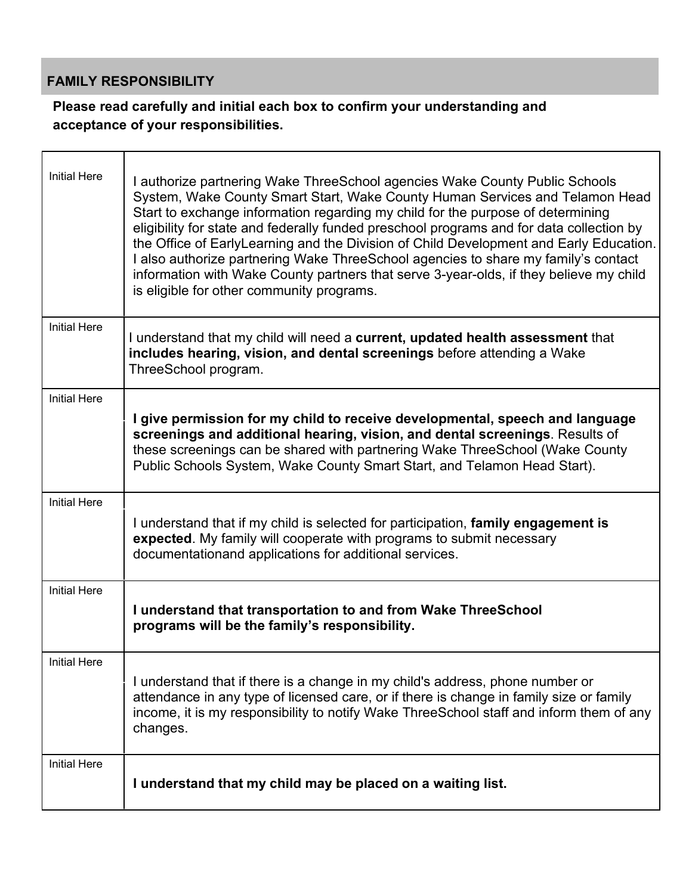### **FAMILY RESPONSIBILITY**

### **Please read carefully and initial each box to confirm your understanding and acceptance of your responsibilities.**

| <b>Initial Here</b> | I authorize partnering Wake ThreeSchool agencies Wake County Public Schools<br>System, Wake County Smart Start, Wake County Human Services and Telamon Head<br>Start to exchange information regarding my child for the purpose of determining<br>eligibility for state and federally funded preschool programs and for data collection by<br>the Office of EarlyLearning and the Division of Child Development and Early Education.<br>I also authorize partnering Wake ThreeSchool agencies to share my family's contact<br>information with Wake County partners that serve 3-year-olds, if they believe my child<br>is eligible for other community programs. |
|---------------------|-------------------------------------------------------------------------------------------------------------------------------------------------------------------------------------------------------------------------------------------------------------------------------------------------------------------------------------------------------------------------------------------------------------------------------------------------------------------------------------------------------------------------------------------------------------------------------------------------------------------------------------------------------------------|
| <b>Initial Here</b> | I understand that my child will need a current, updated health assessment that<br>includes hearing, vision, and dental screenings before attending a Wake<br>ThreeSchool program.                                                                                                                                                                                                                                                                                                                                                                                                                                                                                 |
| <b>Initial Here</b> | I give permission for my child to receive developmental, speech and language<br>screenings and additional hearing, vision, and dental screenings. Results of<br>these screenings can be shared with partnering Wake ThreeSchool (Wake County<br>Public Schools System, Wake County Smart Start, and Telamon Head Start).                                                                                                                                                                                                                                                                                                                                          |
| <b>Initial Here</b> | I understand that if my child is selected for participation, family engagement is<br>expected. My family will cooperate with programs to submit necessary<br>documentationand applications for additional services.                                                                                                                                                                                                                                                                                                                                                                                                                                               |
| <b>Initial Here</b> | I understand that transportation to and from Wake ThreeSchool<br>programs will be the family's responsibility.                                                                                                                                                                                                                                                                                                                                                                                                                                                                                                                                                    |
| <b>Initial Here</b> | I understand that if there is a change in my child's address, phone number or<br>attendance in any type of licensed care, or if there is change in family size or family<br>income, it is my responsibility to notify Wake ThreeSchool staff and inform them of any<br>changes.                                                                                                                                                                                                                                                                                                                                                                                   |
| <b>Initial Here</b> | I understand that my child may be placed on a waiting list.                                                                                                                                                                                                                                                                                                                                                                                                                                                                                                                                                                                                       |